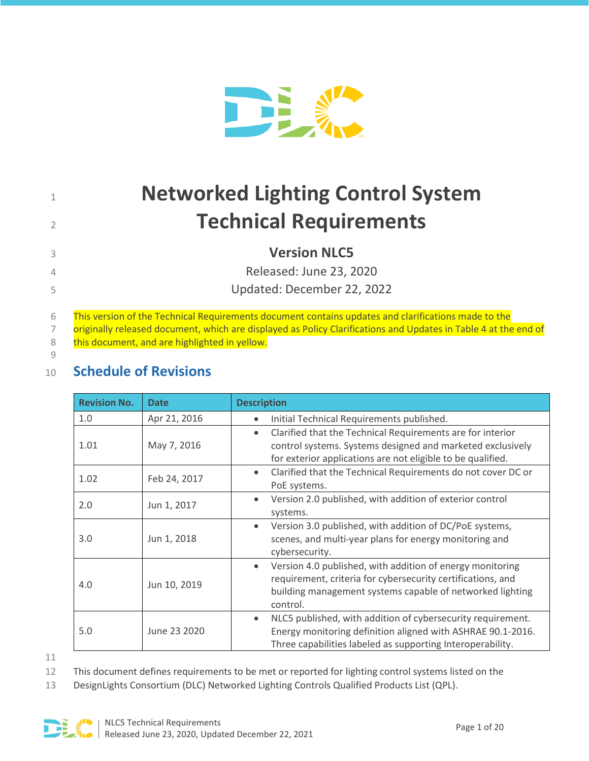

# 1 **Networked Lighting Control System** <sup>2</sup>**Technical Requirements**

<sup>3</sup>**Version NLC5**

4 Released: June 23, 2020 5 Updated: December 22, 2022

6 This version of the Technical Requirements document contains updates and clarifications made to the

7 originally released document, which are displayed as Policy Clarifications and Updates in Table 4 at the end of

8 this document, and are highlighted in yellow. 9

# <span id="page-0-0"></span><sup>10</sup> **Schedule of Revisions**

| <b>Revision No.</b> | <b>Date</b>  | <b>Description</b>                                                                                                                                                                                             |
|---------------------|--------------|----------------------------------------------------------------------------------------------------------------------------------------------------------------------------------------------------------------|
| 1.0                 | Apr 21, 2016 | Initial Technical Requirements published.<br>$\bullet$                                                                                                                                                         |
| 1.01                | May 7, 2016  | Clarified that the Technical Requirements are for interior<br>$\bullet$<br>control systems. Systems designed and marketed exclusively<br>for exterior applications are not eligible to be qualified.           |
| 1.02                | Feb 24, 2017 | Clarified that the Technical Requirements do not cover DC or<br>$\bullet$<br>PoE systems.                                                                                                                      |
| 2.0                 | Jun 1, 2017  | Version 2.0 published, with addition of exterior control<br>$\bullet$<br>systems.                                                                                                                              |
| 3.0                 | Jun 1, 2018  | Version 3.0 published, with addition of DC/PoE systems,<br>$\bullet$<br>scenes, and multi-year plans for energy monitoring and<br>cybersecurity.                                                               |
| 4.0                 | Jun 10, 2019 | Version 4.0 published, with addition of energy monitoring<br>$\bullet$<br>requirement, criteria for cybersecurity certifications, and<br>building management systems capable of networked lighting<br>control. |
| 5.0                 | June 23 2020 | NLC5 published, with addition of cybersecurity requirement.<br>$\bullet$<br>Energy monitoring definition aligned with ASHRAE 90.1-2016.<br>Three capabilities labeled as supporting Interoperability.          |

11

12 This document defines requirements to be met or reported for lighting control systems listed on the

13 DesignLights Consortium (DLC) Networked Lighting Controls Qualified Products List (QPL).

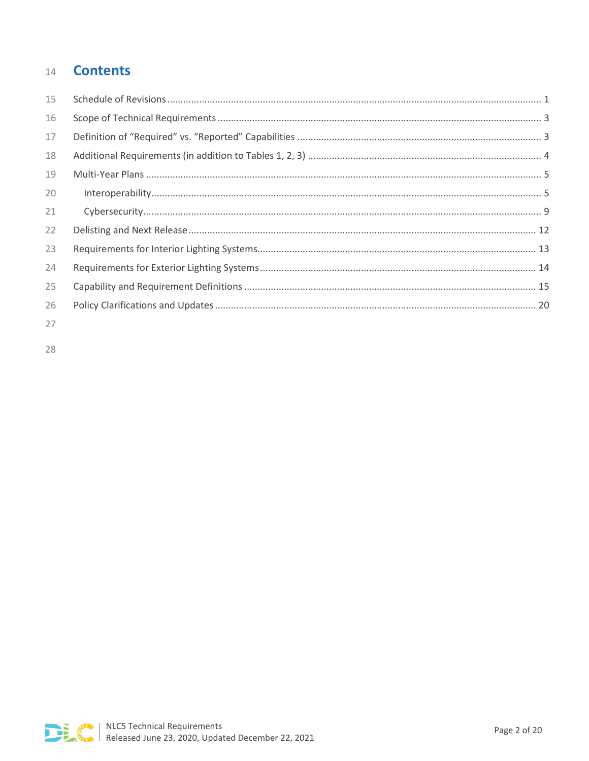#### **Contents** 14

| 15 |  |
|----|--|
| 16 |  |
| 17 |  |
| 18 |  |
| 19 |  |
| 20 |  |
| 21 |  |
| 22 |  |
| 23 |  |
| 24 |  |
| 25 |  |
| 26 |  |
| 27 |  |

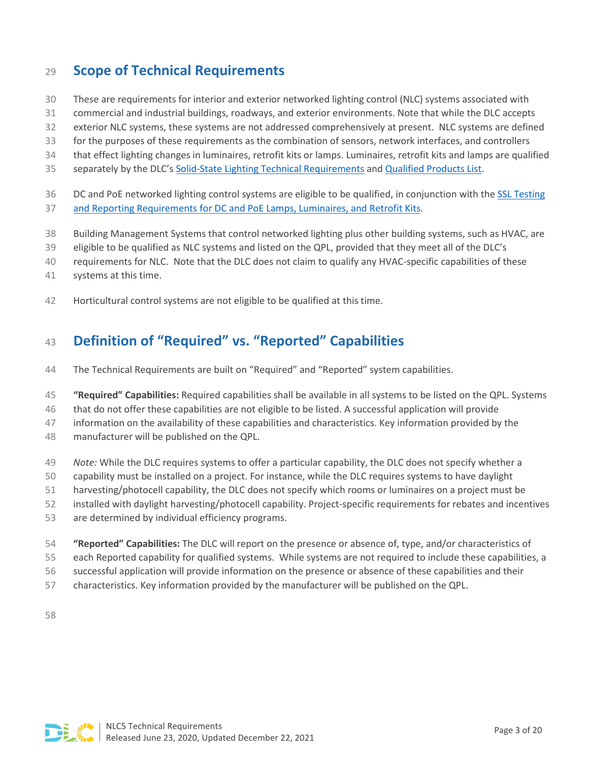# <span id="page-2-0"></span>**Scope of Technical Requirements**

- These are requirements for interior and exterior networked lighting control (NLC) systems associated with
- commercial and industrial buildings, roadways, and exterior environments. Note that while the DLC accepts
- exterior NLC systems, these systems are not addressed comprehensively at present. NLC systems are defined
- for the purposes of these requirements as the combination of sensors, network interfaces, and controllers
- that effect lighting changes in luminaires, retrofit kits or lamps. Luminaires, retrofit kits and lamps are qualified
- 35 separately by the DLC's [Solid-State Lighting Technical Requirements](https://www.designlights.org/our-work/solid-state-lighting/technical-requirements/product-eligibility-primary-use-designations/) an[d Qualified Products List.](https://www.designlights.org/qpl/ssl)
- DC and PoE networked lighting control systems are eligible to be qualified, in conjunction with the [SSL Testing](https://www.designlights.org/solid-state-lighting/testing-reporting-requirements/dc-poe-products/)
- [and Reporting Requirements for DC and PoE Lamps, Luminaires, and Retrofit Kits.](https://www.designlights.org/solid-state-lighting/testing-reporting-requirements/dc-poe-products/)
- Building Management Systems that control networked lighting plus other building systems, such as HVAC, are
- eligible to be qualified as NLC systems and listed on the QPL, provided that they meet all of the DLC's
- requirements for NLC. Note that the DLC does not claim to qualify any HVAC-specific capabilities of these
- systems at this time.
- Horticultural control systems are not eligible to be qualified at this time.

# <span id="page-2-1"></span>**Definition of "Required" vs. "Reported" Capabilities**

- The Technical Requirements are built on "Required" and "Reported" system capabilities.
- **"Required" Capabilities:** Required capabilities shall be available in all systems to be listed on the QPL. Systems
- that do not offer these capabilities are not eligible to be listed. A successful application will provide
- information on the availability of these capabilities and characteristics. Key information provided by the
- manufacturer will be published on the QPL.
- *Note:* While the DLC requires systems to offer a particular capability, the DLC does not specify whether a
- capability must be installed on a project. For instance, while the DLC requires systems to have daylight
- harvesting/photocell capability, the DLC does not specify which rooms or luminaires on a project must be
- installed with daylight harvesting/photocell capability. Project-specific requirements for rebates and incentives
- are determined by individual efficiency programs.
- **"Reported" Capabilities:** The DLC will report on the presence or absence of, type, and/or characteristics of
- each Reported capability for qualified systems. While systems are not required to include these capabilities, a
- successful application will provide information on the presence or absence of these capabilities and their
- characteristics. Key information provided by the manufacturer will be published on the QPL.

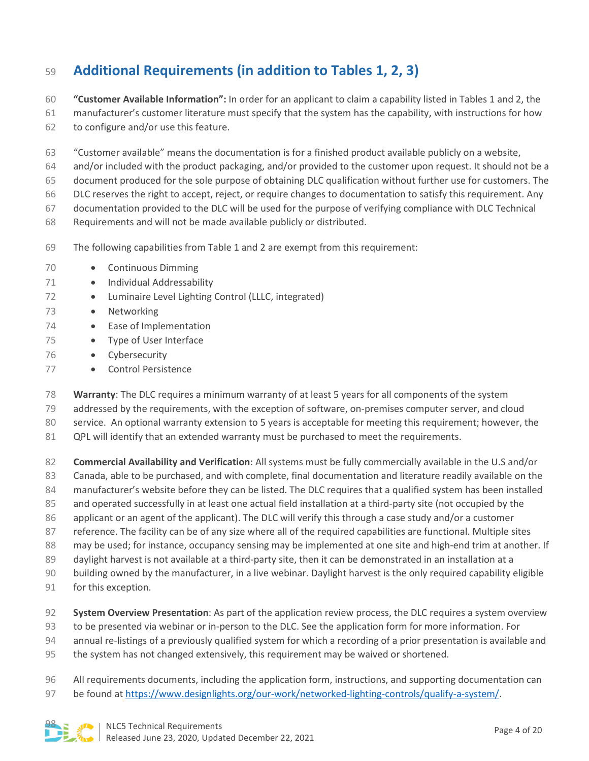# <span id="page-3-0"></span>**Additional Requirements (in addition to Tables 1, 2, 3)**

 **"Customer Available Information":** In order for an applicant to claim a capability listed in Tables 1 and 2, the manufacturer's customer literature must specify that the system has the capability, with instructions for how to configure and/or use this feature.

 "Customer available" means the documentation is for a finished product available publicly on a website, and/or included with the product packaging, and/or provided to the customer upon request. It should not be a document produced for the sole purpose of obtaining DLC qualification without further use for customers. The DLC reserves the right to accept, reject, or require changes to documentation to satisfy this requirement. Any documentation provided to the DLC will be used for the purpose of verifying compliance with DLC Technical Requirements and will not be made available publicly or distributed.

- The following capabilities from Table 1 and 2 are exempt from this requirement:
- 70 Continuous Dimming
- 71 Individual Addressability
- 72 Luminaire Level Lighting Control (LLLC, integrated)
- Networking
- 74 Ease of Implementation
- Type of User Interface
- Cybersecurity
- 77 Control Persistence
- **Warranty**: The DLC requires a minimum warranty of at least 5 years for all components of the system
- addressed by the requirements, with the exception of software, on-premises computer server, and cloud
- service. An optional warranty extension to 5 years is acceptable for meeting this requirement; however, the
- QPL will identify that an extended warranty must be purchased to meet the requirements.

 **Commercial Availability and Verification**: All systems must be fully commercially available in the U.S and/or Canada, able to be purchased, and with complete, final documentation and literature readily available on the manufacturer's website before they can be listed. The DLC requires that a qualified system has been installed and operated successfully in at least one actual field installation at a third-party site (not occupied by the applicant or an agent of the applicant). The DLC will verify this through a case study and/or a customer reference. The facility can be of any size where all of the required capabilities are functional. Multiple sites may be used; for instance, occupancy sensing may be implemented at one site and high-end trim at another. If daylight harvest is not available at a third-party site, then it can be demonstrated in an installation at a building owned by the manufacturer, in a live webinar. Daylight harvest is the only required capability eligible for this exception.

- **System Overview Presentation**: As part of the application review process, the DLC requires a system overview to be presented via webinar or in-person to the DLC. See the application form for more information. For annual re-listings of a previously qualified system for which a recording of a prior presentation is available and the system has not changed extensively, this requirement may be waived or shortened.
- All requirements documents, including the application form, instructions, and supporting documentation can
- be found a[t https://www.designlights.org/our-work/networked-lighting-controls/qualify-a-system/.](https://www.designlights.org/our-work/networked-lighting-controls/qualify-a-system/)

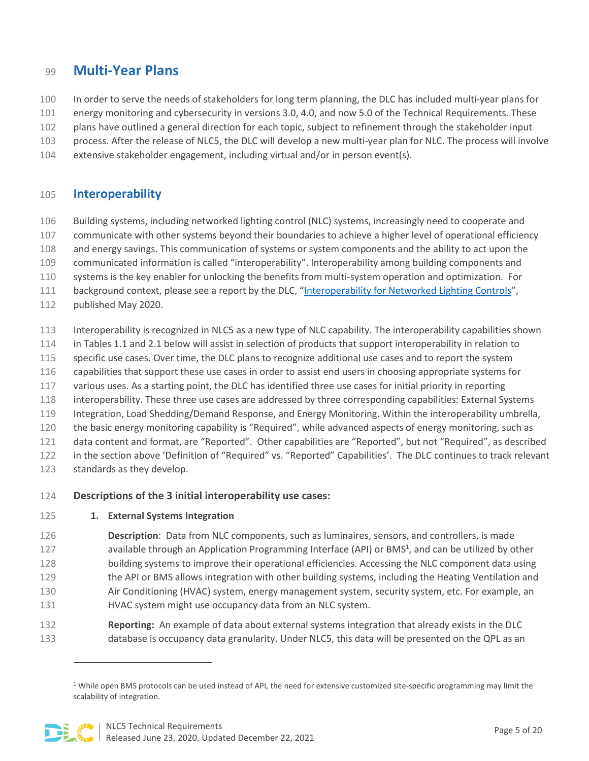## <span id="page-4-0"></span>**Multi-Year Plans**

- In order to serve the needs of stakeholders for long term planning, the DLC has included multi-year plans for
- energy monitoring and cybersecurity in versions 3.0, 4.0, and now 5.0 of the Technical Requirements. These
- plans have outlined a general direction for each topic, subject to refinement through the stakeholder input
- process. After the release of NLC5, the DLC will develop a new multi-year plan for NLC. The process will involve
- extensive stakeholder engagement, including virtual and/or in person event(s).

### <span id="page-4-1"></span>**Interoperability**

- Building systems, including networked lighting control (NLC) systems, increasingly need to cooperate and
- communicate with other systems beyond their boundaries to achieve a higher level of operational efficiency
- and energy savings. This communication of systems or system components and the ability to act upon the
- communicated information is called "interoperability". Interoperability among building components and
- systems is the key enabler for unlocking the benefits from multi-system operation and optimization. For
- 111 background context, please see a report by the DLC, ["Interoperability for Networked Lighting Controls"](https://www.designlights.org/news-events/news/new-dlc-report-webinar-interoperability-for-networked-lighting-controls/),
- published May 2020.
- Interoperability is recognized in NLC5 as a new type of NLC capability. The interoperability capabilities shown
- in Tables 1.1 and 2.1 below will assist in selection of products that support interoperability in relation to
- 115 specific use cases. Over time, the DLC plans to recognize additional use cases and to report the system
- capabilities that support these use cases in order to assist end users in choosing appropriate systems for
- various uses. As a starting point, the DLC has identified three use cases for initial priority in reporting
- interoperability. These three use cases are addressed by three corresponding capabilities: External Systems
- Integration, Load Shedding/Demand Response, and Energy Monitoring. Within the interoperability umbrella,
- 120 the basic energy monitoring capability is "Required", while advanced aspects of energy monitoring, such as
- data content and format, are "Reported". Other capabilities are "Reported", but not "Required", as described
- in the section above 'Definition of "Required" vs. "Reported" Capabilities'. The DLC continues to track relevant
- standards as they develop.
- **Descriptions of the 3 initial interoperability use cases:**
- **1. External Systems Integration**
- **Description**: Data from NLC components, such as luminaires, sensors, and controllers, is made 127 available through an Application Programming Interface (API) or BMS<sup>1</sup>, and can be utilized by other building systems to improve their operational efficiencies. Accessing the NLC component data using 129 the API or BMS allows integration with other building systems, including the Heating Ventilation and Air Conditioning (HVAC) system, energy management system, security system, etc. For example, an HVAC system might use occupancy data from an NLC system.
- **Reporting:** An example of data about external systems integration that already exists in the DLC database is occupancy data granularity. Under NLC5, this data will be presented on the QPL as an

 While open BMS protocols can be used instead of API, the need for extensive customized site-specific programming may limit the scalability of integration.

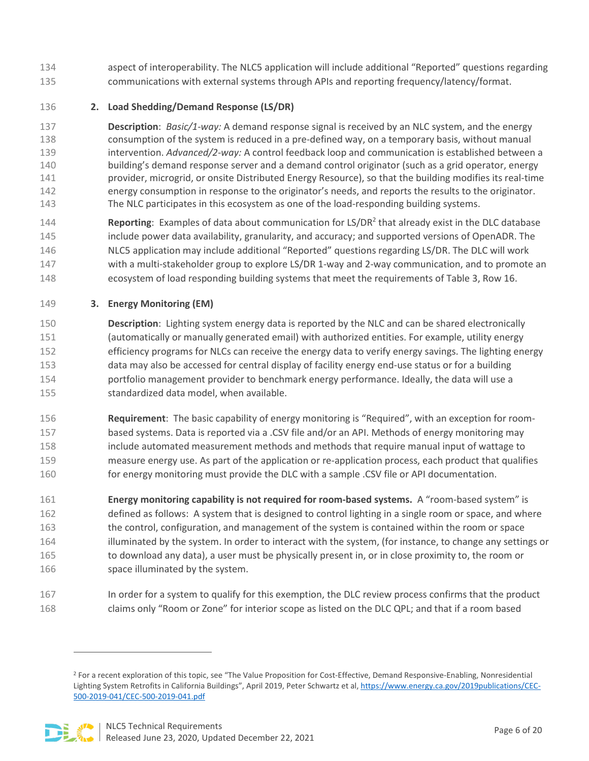- aspect of interoperability. The NLC5 application will include additional "Reported" questions regarding communications with external systems through APIs and reporting frequency/latency/format.
- **2. Load Shedding/Demand Response (LS/DR)**

 **Description**: *Basic/1-way:* A demand response signal is received by an NLC system, and the energy consumption of the system is reduced in a pre-defined way, on a temporary basis, without manual intervention. *Advanced/2-way:* A control feedback loop and communication is established between a building's demand response server and a demand control originator (such as a grid operator, energy provider, microgrid, or onsite Distributed Energy Resource), so that the building modifies its real-time energy consumption in response to the originator's needs, and reports the results to the originator. The NLC participates in this ecosystem as one of the load-responding building systems.

**Reporting**: Examples of data about communication for LS/DR<sup>2</sup> that already exist in the DLC database include power data availability, granularity, and accuracy; and supported versions of OpenADR. The NLC5 application may include additional "Reported" questions regarding LS/DR. The DLC will work with a multi-stakeholder group to explore LS/DR 1-way and 2-way communication, and to promote an ecosystem of load responding building systems that meet the requirements of Table 3, Row 16.

**3. Energy Monitoring (EM)** 

 **Description**: Lighting system energy data is reported by the NLC and can be shared electronically (automatically or manually generated email) with authorized entities. For example, utility energy efficiency programs for NLCs can receive the energy data to verify energy savings. The lighting energy data may also be accessed for central display of facility energy end-use status or for a building portfolio management provider to benchmark energy performance. Ideally, the data will use a standardized data model, when available.

 **Requirement**: The basic capability of energy monitoring is "Required", with an exception for room- based systems. Data is reported via a .CSV file and/or an API. Methods of energy monitoring may include automated measurement methods and methods that require manual input of wattage to measure energy use. As part of the application or re-application process, each product that qualifies 160 for energy monitoring must provide the DLC with a sample .CSV file or API documentation.

 **Energy monitoring capability is not required for room-based systems.** A "room-based system" is defined as follows: A system that is designed to control lighting in a single room or space, and where the control, configuration, and management of the system is contained within the room or space 164 illuminated by the system. In order to interact with the system, (for instance, to change any settings or to download any data), a user must be physically present in, or in close proximity to, the room or 166 space illuminated by the system.

 In order for a system to qualify for this exemption, the DLC review process confirms that the product claims only "Room or Zone" for interior scope as listed on the DLC QPL; and that if a room based

<sup>&</sup>lt;sup>2</sup> For a recent exploration of this topic, see "The Value Proposition for Cost-Effective, Demand Responsive-Enabling, Nonresidential Lighting System Retrofits in California Buildings", April 2019, Peter Schwartz et al[, https://www.energy.ca.gov/2019publications/CEC-](https://www.energy.ca.gov/2019publications/CEC-500-2019-041/CEC-500-2019-041.pdf)[500-2019-041/CEC-500-2019-041.pdf](https://www.energy.ca.gov/2019publications/CEC-500-2019-041/CEC-500-2019-041.pdf) 

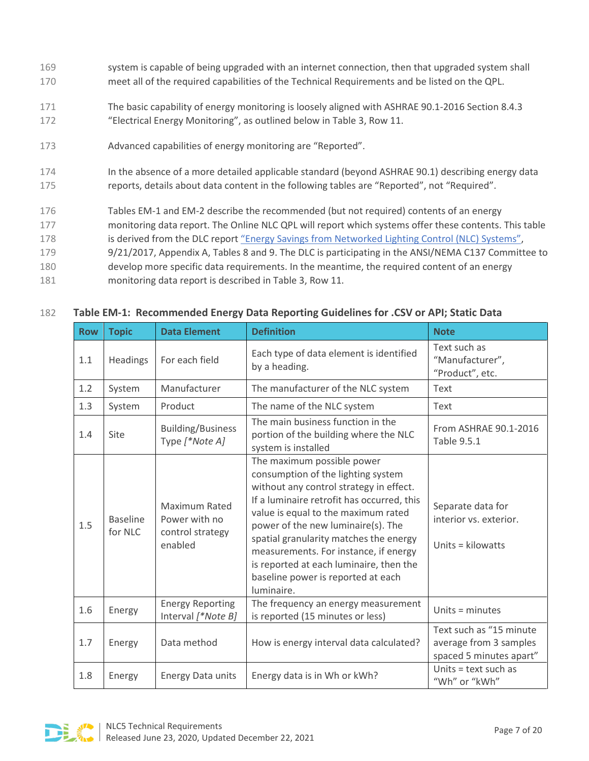- 169 system is capable of being upgraded with an internet connection, then that upgraded system shall 170 meet all of the required capabilities of the Technical Requirements and be listed on the QPL.
- 171 The basic capability of energy monitoring is loosely aligned with ASHRAE 90.1-2016 Section 8.4.3 172 "Electrical Energy Monitoring", as outlined below in Table 3, Row 11.
- 173 Advanced capabilities of energy monitoring are "Reported".
- 174 In the absence of a more detailed applicable standard (beyond ASHRAE 90.1) describing energy data 175 reports, details about data content in the following tables are "Reported", not "Required".
- 176 Tables EM-1 and EM-2 describe the recommended (but not required) contents of an energy
- 177 monitoring data report. The Online NLC QPL will report which systems offer these contents. This table
- 178 is derived from the DLC report ["Energy Savings from Networked Lighting Control \(NLC\) Systems",](https://www.designlights.org/resources/reports/report-energy-savings-from-networked-lighting-control-nlc-systems/)
- 179 9/21/2017, Appendix A, Tables 8 and 9. The DLC is participating in the ANSI/NEMA C137 Committee to
- 180 develop more specific data requirements. In the meantime, the required content of an energy
- 181 monitoring data report is described in Table 3, Row 11.

| <b>Row</b> | <b>Topic</b>               | <b>Data Element</b>                                                  | <b>Definition</b>                                                                                                                                                                                                                                                                                                                                                                                                        | <b>Note</b>                                                                  |
|------------|----------------------------|----------------------------------------------------------------------|--------------------------------------------------------------------------------------------------------------------------------------------------------------------------------------------------------------------------------------------------------------------------------------------------------------------------------------------------------------------------------------------------------------------------|------------------------------------------------------------------------------|
| 1.1        | <b>Headings</b>            | For each field                                                       | Each type of data element is identified<br>by a heading.                                                                                                                                                                                                                                                                                                                                                                 | Text such as<br>"Manufacturer",<br>"Product", etc.                           |
| 1.2        | System                     | Manufacturer                                                         | The manufacturer of the NLC system                                                                                                                                                                                                                                                                                                                                                                                       | Text                                                                         |
| 1.3        | System                     | Product                                                              | The name of the NLC system                                                                                                                                                                                                                                                                                                                                                                                               | Text                                                                         |
| 1.4        | Site                       | <b>Building/Business</b><br>Type [*Note A]                           | The main business function in the<br>portion of the building where the NLC<br>system is installed                                                                                                                                                                                                                                                                                                                        | From ASHRAE 90.1-2016<br>Table 9.5.1                                         |
| 1.5        | <b>Baseline</b><br>for NLC | <b>Maximum Rated</b><br>Power with no<br>control strategy<br>enabled | The maximum possible power<br>consumption of the lighting system<br>without any control strategy in effect.<br>If a luminaire retrofit has occurred, this<br>value is equal to the maximum rated<br>power of the new luminaire(s). The<br>spatial granularity matches the energy<br>measurements. For instance, if energy<br>is reported at each luminaire, then the<br>baseline power is reported at each<br>luminaire. | Separate data for<br>interior vs. exterior.<br>Units = kilowatts             |
| 1.6        | Energy                     | <b>Energy Reporting</b><br>Interval [*Note B]                        | The frequency an energy measurement<br>is reported (15 minutes or less)                                                                                                                                                                                                                                                                                                                                                  | Units = minutes                                                              |
| 1.7        | Energy                     | Data method                                                          | How is energy interval data calculated?                                                                                                                                                                                                                                                                                                                                                                                  | Text such as "15 minute<br>average from 3 samples<br>spaced 5 minutes apart" |
| 1.8        | Energy                     | <b>Energy Data units</b>                                             | Energy data is in Wh or kWh?                                                                                                                                                                                                                                                                                                                                                                                             | Units = text such as<br>"Wh" or "kWh"                                        |

#### 182 **Table EM-1: Recommended Energy Data Reporting Guidelines for .CSV or API; Static Data**

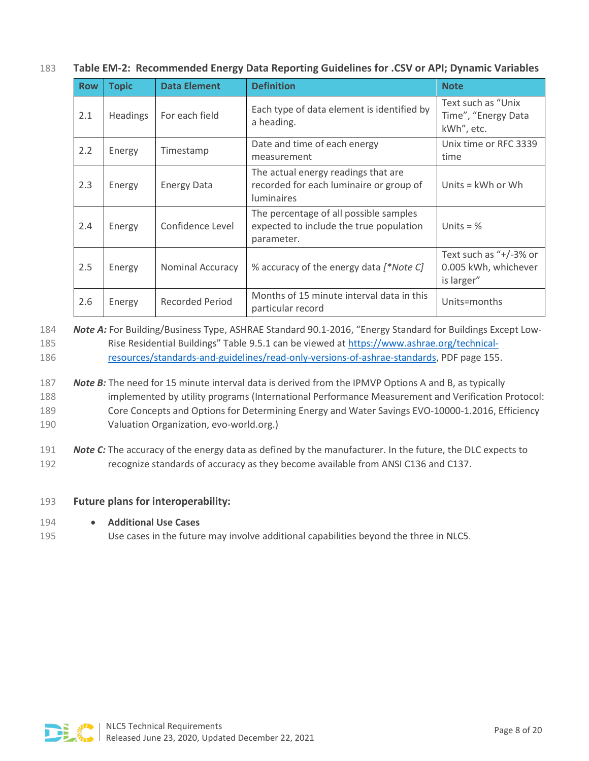|  |  | 183 Table EM-2: Recommended Energy Data Reporting Guidelines for .CSV or API; Dynamic Variables |  |  |  |  |
|--|--|-------------------------------------------------------------------------------------------------|--|--|--|--|
|--|--|-------------------------------------------------------------------------------------------------|--|--|--|--|

| <b>Row</b> | <b>Topic</b> | <b>Data Element</b> | <b>Definition</b>                                                                                   | <b>Note</b>                                                  |
|------------|--------------|---------------------|-----------------------------------------------------------------------------------------------------|--------------------------------------------------------------|
| 2.1        | Headings     | For each field      | Each type of data element is identified by<br>a heading.                                            | Text such as "Unix"<br>Time", "Energy Data<br>kWh", etc.     |
| 2.2        | Energy       | Timestamp           | Date and time of each energy<br>measurement                                                         | Unix time or RFC 3339<br>time                                |
| 2.3        | Energy       | <b>Energy Data</b>  | The actual energy readings that are<br>recorded for each luminaire or group of<br><b>luminaires</b> | Units = kWh or Wh                                            |
| 2.4        | Energy       | Confidence Level    | The percentage of all possible samples<br>expected to include the true population<br>parameter.     | Units = $%$                                                  |
| 2.5        | Energy       | Nominal Accuracy    | % accuracy of the energy data [*Note C]                                                             | Text such as "+/-3% or<br>0.005 kWh, whichever<br>is larger" |
| 2.6        | Energy       | Recorded Period     | Months of 15 minute interval data in this<br>particular record                                      | Units=months                                                 |

184 *Note A:* For Building/Business Type, ASHRAE Standard 90.1-2016, "Energy Standard for Buildings Except Low185 Rise Residential Buildings" Table 9.5.1 can be viewed at [https://www.ashrae.org/technical-](https://www.ashrae.org/technical-resources/standards-and-guidelines/read-only-versions-of-ashrae-standards)186 [resources/standards-and-guidelines/read-only-versions-of-ashrae-standards,](https://www.ashrae.org/technical-resources/standards-and-guidelines/read-only-versions-of-ashrae-standards) PDF page 155.

#### 187 *Note B:* The need for 15 minute interval data is derived from the IPMVP Options A and B, as typically 188 implemented by utility programs (International Performance Measurement and Verification Protocol: 189 Core Concepts and Options for Determining Energy and Water Savings EVO-10000-1.2016, Efficiency 190 Valuation Organization, evo-world.org.)

#### 191 *Note C:* The accuracy of the energy data as defined by the manufacturer. In the future, the DLC expects to 192 recognize standards of accuracy as they become available from ANSI C136 and C137.

#### 193 **Future plans for interoperability:**

- 194 **Additional Use Cases**
- 195 Use cases in the future may involve additional capabilities beyond the three in NLC5*.*

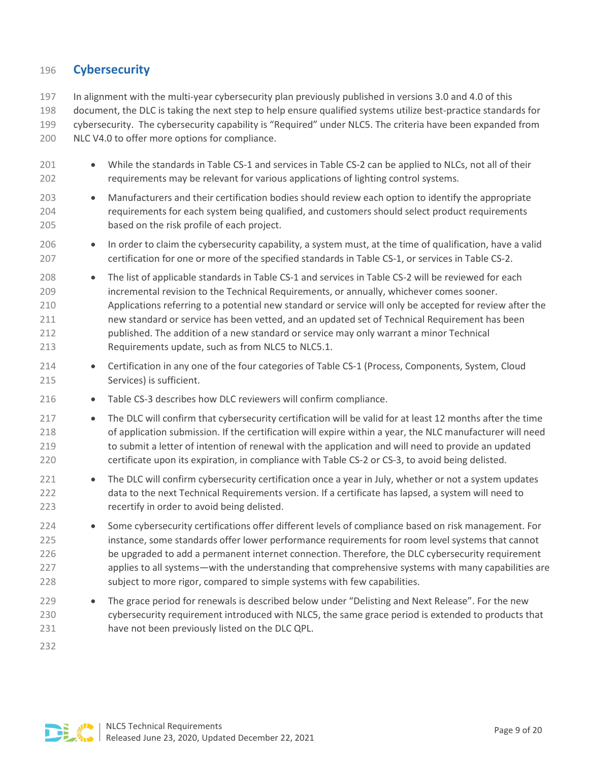#### <span id="page-8-0"></span>**Cybersecurity**

 In alignment with the multi-year cybersecurity plan previously published in versions 3.0 and 4.0 of this document, the DLC is taking the next step to help ensure qualified systems utilize best-practice standards for cybersecurity. The cybersecurity capability is "Required" under NLC5. The criteria have been expanded from NLC V4.0 to offer more options for compliance.

- 201 While the standards in Table CS-1 and services in Table CS-2 can be applied to NLCs, not all of their requirements may be relevant for various applications of lighting control systems.
- Manufacturers and their certification bodies should review each option to identify the appropriate requirements for each system being qualified, and customers should select product requirements based on the risk profile of each project.
- In order to claim the cybersecurity capability, a system must, at the time of qualification, have a valid certification for one or more of the specified standards in Table CS-1, or services in Table CS-2.
- The list of applicable standards in Table CS-1 and services in Table CS-2 will be reviewed for each incremental revision to the Technical Requirements, or annually, whichever comes sooner. Applications referring to a potential new standard or service will only be accepted for review after the new standard or service has been vetted, and an updated set of Technical Requirement has been published. The addition of a new standard or service may only warrant a minor Technical Requirements update, such as from NLC5 to NLC5.1.
- Certification in any one of the four categories of Table CS-1 (Process, Components, System, Cloud Services) is sufficient.
- 216 Table CS-3 describes how DLC reviewers will confirm compliance.
- The DLC will confirm that cybersecurity certification will be valid for at least 12 months after the time of application submission. If the certification will expire within a year, the NLC manufacturer will need to submit a letter of intention of renewal with the application and will need to provide an updated certificate upon its expiration, in compliance with Table CS-2 or CS-3, to avoid being delisted.
- 221 The DLC will confirm cybersecurity certification once a year in July, whether or not a system updates data to the next Technical Requirements version. If a certificate has lapsed, a system will need to recertify in order to avoid being delisted.
- Some cybersecurity certifications offer different levels of compliance based on risk management. For instance, some standards offer lower performance requirements for room level systems that cannot be upgraded to add a permanent internet connection. Therefore, the DLC cybersecurity requirement applies to all systems—with the understanding that comprehensive systems with many capabilities are subject to more rigor, compared to simple systems with few capabilities.
- 229 The grace period for renewals is described below under "Delisting and Next Release". For the new cybersecurity requirement introduced with NLC5, the same grace period is extended to products that have not been previously listed on the DLC QPL.

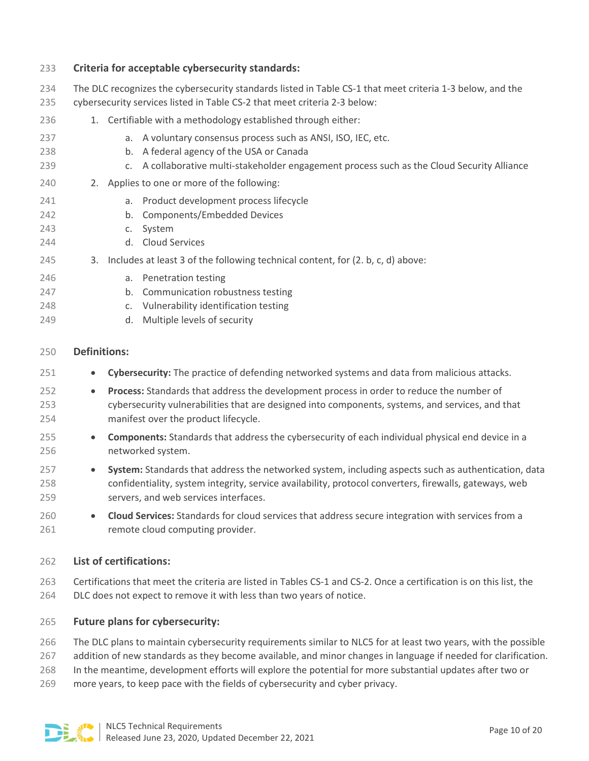| 233                      | Criteria for acceptable cybersecurity standards:                                                                                                                                                               |
|--------------------------|----------------------------------------------------------------------------------------------------------------------------------------------------------------------------------------------------------------|
| 234<br>235               | The DLC recognizes the cybersecurity standards listed in Table CS-1 that meet criteria 1-3 below, and the<br>cybersecurity services listed in Table CS-2 that meet criteria 2-3 below:                         |
| 236                      | 1. Certifiable with a methodology established through either:                                                                                                                                                  |
| 237<br>238<br>239        | a. A voluntary consensus process such as ANSI, ISO, IEC, etc.<br>A federal agency of the USA or Canada<br>b.<br>A collaborative multi-stakeholder engagement process such as the Cloud Security Alliance<br>C. |
| 240                      | 2. Applies to one or more of the following:                                                                                                                                                                    |
| 241<br>242<br>243<br>244 | Product development process lifecycle<br>a.<br><b>Components/Embedded Devices</b><br>b.<br>System<br>$C_{\star}$<br><b>Cloud Services</b><br>d.                                                                |
| 245                      | Includes at least 3 of the following technical content, for (2. b, c, d) above:<br>3.                                                                                                                          |
| 246<br>247<br>248<br>249 | Penetration testing<br>a.<br>Communication robustness testing<br>b.<br>Vulnerability identification testing<br>c.<br>Multiple levels of security<br>d.                                                         |
| 250                      | <b>Definitions:</b>                                                                                                                                                                                            |

- **Cybersecurity:** The practice of defending networked systems and data from malicious attacks.
- **Process:** Standards that address the development process in order to reduce the number of cybersecurity vulnerabilities that are designed into components, systems, and services, and that manifest over the product lifecycle.
- **Components:** Standards that address the cybersecurity of each individual physical end device in a networked system.
- **System:** Standards that address the networked system, including aspects such as authentication, data confidentiality, system integrity, service availability, protocol converters, firewalls, gateways, web servers, and web services interfaces.
- **Cloud Services:** Standards for cloud services that address secure integration with services from a 261 remote cloud computing provider.

#### **List of certifications:**

 Certifications that meet the criteria are listed in Tables CS-1 and CS-2. Once a certification is on this list, the DLC does not expect to remove it with less than two years of notice.

#### **Future plans for cybersecurity:**

The DLC plans to maintain cybersecurity requirements similar to NLC5 for at least two years, with the possible

- addition of new standards as they become available, and minor changes in language if needed for clarification.
- In the meantime, development efforts will explore the potential for more substantial updates after two or
- more years, to keep pace with the fields of cybersecurity and cyber privacy.

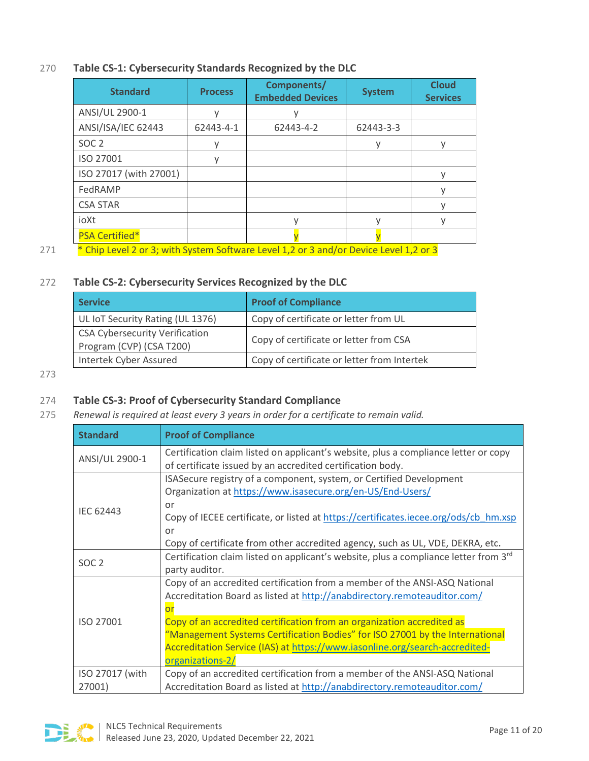#### 270 **Table CS-1: Cybersecurity Standards Recognized by the DLC**

| <b>Standard</b>        | <b>Process</b> | Components/<br><b>Embedded Devices</b> | <b>System</b> | <b>Cloud</b><br><b>Services</b> |
|------------------------|----------------|----------------------------------------|---------------|---------------------------------|
| ANSI/UL 2900-1         |                |                                        |               |                                 |
| ANSI/ISA/IEC 62443     | 62443-4-1      | 62443-4-2                              | 62443-3-3     |                                 |
| SOC <sub>2</sub>       |                |                                        |               |                                 |
| ISO 27001              |                |                                        |               |                                 |
| ISO 27017 (with 27001) |                |                                        |               |                                 |
| FedRAMP                |                |                                        |               |                                 |
| <b>CSA STAR</b>        |                |                                        |               |                                 |
| ioXt                   |                |                                        |               |                                 |
| <b>PSA Certified*</b>  |                |                                        |               |                                 |
|                        |                |                                        |               |                                 |

271 \* Chip Level 2 or 3; with System Software Level 1,2 or 3 and/or Device Level 1,2 or 3

#### 272 **Table CS-2: Cybersecurity Services Recognized by the DLC**

| <b>Service</b>                                                    | <b>Proof of Compliance</b>                  |
|-------------------------------------------------------------------|---------------------------------------------|
| UL IoT Security Rating (UL 1376)                                  | Copy of certificate or letter from UL       |
| <b>CSA Cybersecurity Verification</b><br>Program (CVP) (CSA T200) | Copy of certificate or letter from CSA      |
| Intertek Cyber Assured                                            | Copy of certificate or letter from Intertek |

273

#### 274 **Table CS-3: Proof of Cybersecurity Standard Compliance**

275 *Renewal is required at least every 3 years in order for a certificate to remain valid.*

| <b>Standard</b>  | <b>Proof of Compliance</b>                                                                                                                                                                                                                                                                                                          |
|------------------|-------------------------------------------------------------------------------------------------------------------------------------------------------------------------------------------------------------------------------------------------------------------------------------------------------------------------------------|
| ANSI/UL 2900-1   | Certification claim listed on applicant's website, plus a compliance letter or copy<br>of certificate issued by an accredited certification body.                                                                                                                                                                                   |
| <b>IEC 62443</b> | ISASecure registry of a component, system, or Certified Development<br>Organization at https://www.isasecure.org/en-US/End-Users/<br>or<br>Copy of IECEE certificate, or listed at https://certificates.iecee.org/ods/cb hm.xsp<br>or<br>Copy of certificate from other accredited agency, such as UL, VDE, DEKRA, etc.             |
| SOC <sub>2</sub> | Certification claim listed on applicant's website, plus a compliance letter from 3rd<br>party auditor.                                                                                                                                                                                                                              |
| ISO 27001        | Copy of an accredited certification from a member of the ANSI-ASQ National<br>Accreditation Board as listed at http://anabdirectory.remoteauditor.com/<br>$\overline{or}$<br>Copy of an accredited certification from an organization accredited as<br>"Management Systems Certification Bodies" for ISO 27001 by the International |
|                  | Accreditation Service (IAS) at https://www.iasonline.org/search-accredited-<br>organizations-2/                                                                                                                                                                                                                                     |
| ISO 27017 (with  | Copy of an accredited certification from a member of the ANSI-ASQ National                                                                                                                                                                                                                                                          |
| 27001)           | Accreditation Board as listed at http://anabdirectory.remoteauditor.com/                                                                                                                                                                                                                                                            |

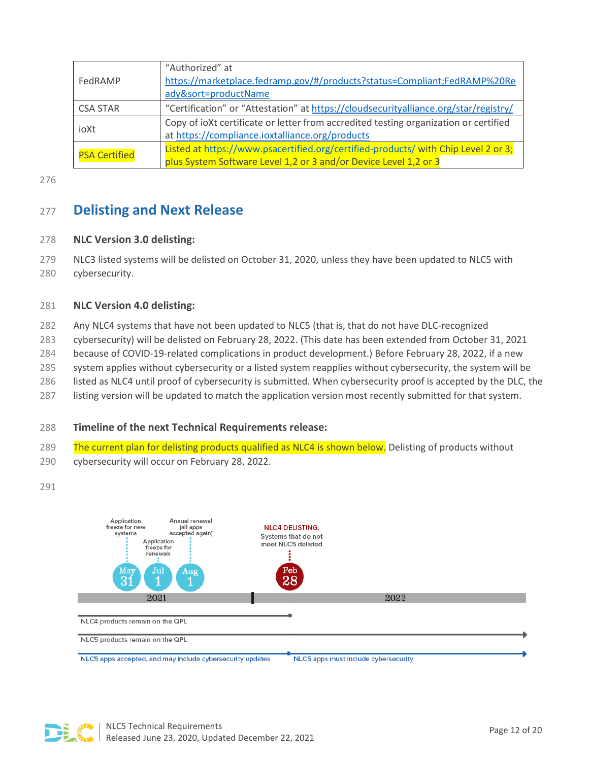|                      | "Authorized" at                                                                      |
|----------------------|--------------------------------------------------------------------------------------|
| FedRAMP              | https://marketplace.fedramp.gov/#/products?status=Compliant;FedRAMP%20Re             |
|                      | ady&sort=productName                                                                 |
| <b>CSA STAR</b>      | "Certification" or "Attestation" at https://cloudsecurityalliance.org/star/registry/ |
| ioXt                 | Copy of ioXt certificate or letter from accredited testing organization or certified |
|                      | at https://compliance.ioxtalliance.org/products                                      |
| <b>PSA Certified</b> | Listed at https://www.psacertified.org/certified-products/ with Chip Level 2 or 3;   |
|                      | plus System Software Level 1,2 or 3 and/or Device Level 1,2 or 3                     |

276

# <span id="page-11-0"></span><sup>277</sup> **Delisting and Next Release**

#### 278 **NLC Version 3.0 delisting:**

279 NLC3 listed systems will be delisted on October 31, 2020, unless they have been updated to NLC5 with 280 cybersecurity.

#### 281 **NLC Version 4.0 delisting:**

- 282 Any NLC4 systems that have not been updated to NLC5 (that is, that do not have DLC-recognized
- 283 cybersecurity) will be delisted on February 28, 2022. (This date has been extended from October 31, 2021
- 284 because of COVID-19-related complications in product development.) Before February 28, 2022, if a new
- 285 system applies without cybersecurity or a listed system reapplies without cybersecurity, the system will be
- 286 listed as NLC4 until proof of cybersecurity is submitted. When cybersecurity proof is accepted by the DLC, the
- 287 listing version will be updated to match the application version most recently submitted for that system.

#### 288 **Timeline of the next Technical Requirements release:**

- 289 The current plan for delisting products qualified as NLC4 is shown below. Delisting of products without
- 290 cybersecurity will occur on February 28, 2022.

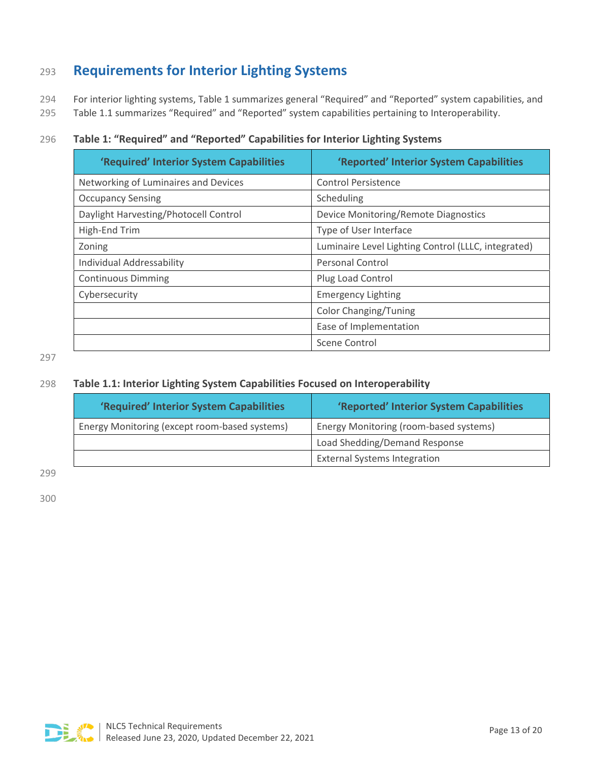# <span id="page-12-0"></span><sup>293</sup> **Requirements for Interior Lighting Systems**

294 For interior lighting systems, Table 1 summarizes general "Required" and "Reported" system capabilities, and

295 Table 1.1 summarizes "Required" and "Reported" system capabilities pertaining to Interoperability.

#### 296 **Table 1: "Required" and "Reported" Capabilities for Interior Lighting Systems**

| 'Required' Interior System Capabilities | 'Reported' Interior System Capabilities             |
|-----------------------------------------|-----------------------------------------------------|
| Networking of Luminaires and Devices    | <b>Control Persistence</b>                          |
| <b>Occupancy Sensing</b>                | Scheduling                                          |
| Daylight Harvesting/Photocell Control   | Device Monitoring/Remote Diagnostics                |
| High-End Trim                           | Type of User Interface                              |
| Zoning                                  | Luminaire Level Lighting Control (LLLC, integrated) |
| Individual Addressability               | <b>Personal Control</b>                             |
| <b>Continuous Dimming</b>               | Plug Load Control                                   |
| Cybersecurity                           | <b>Emergency Lighting</b>                           |
|                                         | <b>Color Changing/Tuning</b>                        |
|                                         | Ease of Implementation                              |
|                                         | Scene Control                                       |

297

#### 298 **Table 1.1: Interior Lighting System Capabilities Focused on Interoperability**

| 'Required' Interior System Capabilities       | 'Reported' Interior System Capabilities |
|-----------------------------------------------|-----------------------------------------|
| Energy Monitoring (except room-based systems) | Energy Monitoring (room-based systems)  |
|                                               | Load Shedding/Demand Response           |
|                                               | <b>External Systems Integration</b>     |

299

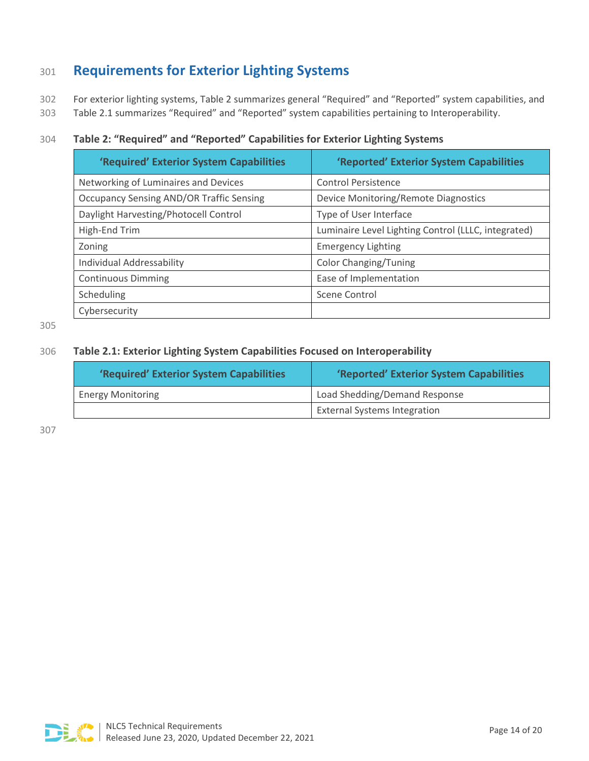# <span id="page-13-0"></span><sup>301</sup> **Requirements for Exterior Lighting Systems**

302 For exterior lighting systems, Table 2 summarizes general "Required" and "Reported" system capabilities, and

303 Table 2.1 summarizes "Required" and "Reported" system capabilities pertaining to Interoperability.

#### 304 **Table 2: "Required" and "Reported" Capabilities for Exterior Lighting Systems**

| 'Required' Exterior System Capabilities         | 'Reported' Exterior System Capabilities             |
|-------------------------------------------------|-----------------------------------------------------|
| Networking of Luminaires and Devices            | <b>Control Persistence</b>                          |
| <b>Occupancy Sensing AND/OR Traffic Sensing</b> | Device Monitoring/Remote Diagnostics                |
| Daylight Harvesting/Photocell Control           | Type of User Interface                              |
| High-End Trim                                   | Luminaire Level Lighting Control (LLLC, integrated) |
| Zoning                                          | <b>Emergency Lighting</b>                           |
| Individual Addressability                       | <b>Color Changing/Tuning</b>                        |
| <b>Continuous Dimming</b>                       | Ease of Implementation                              |
| Scheduling                                      | Scene Control                                       |
| Cybersecurity                                   |                                                     |

305

#### 306 **Table 2.1: Exterior Lighting System Capabilities Focused on Interoperability**

| 'Required' Exterior System Capabilities | 'Reported' Exterior System Capabilities |
|-----------------------------------------|-----------------------------------------|
| <b>Energy Monitoring</b>                | Load Shedding/Demand Response           |
|                                         | <b>External Systems Integration</b>     |

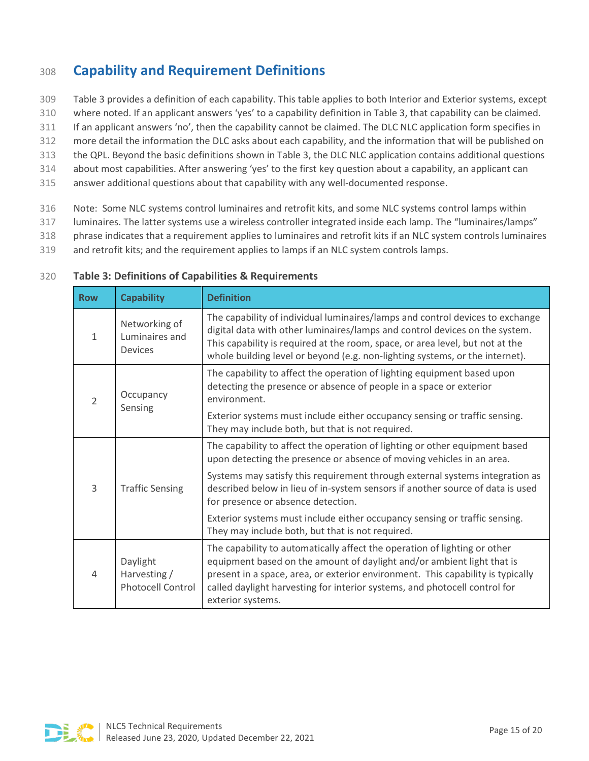# <span id="page-14-0"></span><sup>308</sup> **Capability and Requirement Definitions**

- 309 Table 3 provides a definition of each capability. This table applies to both Interior and Exterior systems, except
- 310 where noted. If an applicant answers 'yes' to a capability definition in Table 3, that capability can be claimed.
- 311 If an applicant answers 'no', then the capability cannot be claimed. The DLC NLC application form specifies in
- 312 more detail the information the DLC asks about each capability, and the information that will be published on
- 313 the QPL. Beyond the basic definitions shown in Table 3, the DLC NLC application contains additional questions
- 314 about most capabilities. After answering 'yes' to the first key question about a capability, an applicant can
- 315 answer additional questions about that capability with any well-documented response.
- 316 Note: Some NLC systems control luminaires and retrofit kits, and some NLC systems control lamps within
- 317 luminaires. The latter systems use a wireless controller integrated inside each lamp. The "luminaires/lamps"
- 318 phrase indicates that a requirement applies to luminaires and retrofit kits if an NLC system controls luminaires
- 319 and retrofit kits; and the requirement applies to lamps if an NLC system controls lamps.

| <b>Row</b>     | <b>Capability</b>                                    | <b>Definition</b>                                                                                                                                                                                                                                                                                                                         |  |
|----------------|------------------------------------------------------|-------------------------------------------------------------------------------------------------------------------------------------------------------------------------------------------------------------------------------------------------------------------------------------------------------------------------------------------|--|
| 1              | Networking of<br>Luminaires and<br><b>Devices</b>    | The capability of individual luminaires/lamps and control devices to exchange<br>digital data with other luminaires/lamps and control devices on the system.<br>This capability is required at the room, space, or area level, but not at the<br>whole building level or beyond (e.g. non-lighting systems, or the internet).             |  |
| $\overline{2}$ | Occupancy<br>Sensing                                 | The capability to affect the operation of lighting equipment based upon<br>detecting the presence or absence of people in a space or exterior<br>environment.                                                                                                                                                                             |  |
|                |                                                      | Exterior systems must include either occupancy sensing or traffic sensing.<br>They may include both, but that is not required.                                                                                                                                                                                                            |  |
| 3              | <b>Traffic Sensing</b>                               | The capability to affect the operation of lighting or other equipment based<br>upon detecting the presence or absence of moving vehicles in an area.                                                                                                                                                                                      |  |
|                |                                                      | Systems may satisfy this requirement through external systems integration as<br>described below in lieu of in-system sensors if another source of data is used<br>for presence or absence detection.                                                                                                                                      |  |
|                |                                                      | Exterior systems must include either occupancy sensing or traffic sensing.<br>They may include both, but that is not required.                                                                                                                                                                                                            |  |
| 4              | Daylight<br>Harvesting /<br><b>Photocell Control</b> | The capability to automatically affect the operation of lighting or other<br>equipment based on the amount of daylight and/or ambient light that is<br>present in a space, area, or exterior environment. This capability is typically<br>called daylight harvesting for interior systems, and photocell control for<br>exterior systems. |  |

#### 320 **Table 3: Definitions of Capabilities & Requirements**

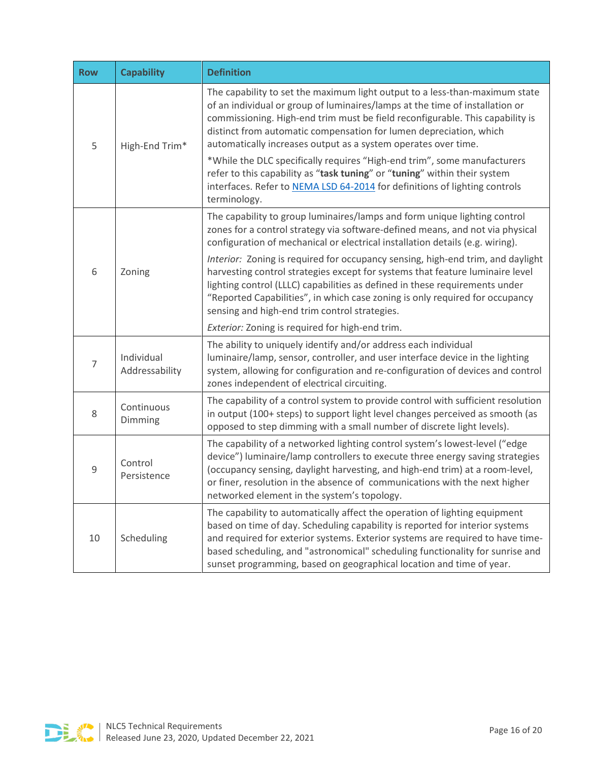| <b>Row</b>     | <b>Capability</b>            | <b>Definition</b>                                                                                                                                                                                                                                                                                                                                                                                     |
|----------------|------------------------------|-------------------------------------------------------------------------------------------------------------------------------------------------------------------------------------------------------------------------------------------------------------------------------------------------------------------------------------------------------------------------------------------------------|
| 5              | High-End Trim*               | The capability to set the maximum light output to a less-than-maximum state<br>of an individual or group of luminaires/lamps at the time of installation or<br>commissioning. High-end trim must be field reconfigurable. This capability is<br>distinct from automatic compensation for lumen depreciation, which<br>automatically increases output as a system operates over time.                  |
|                |                              | *While the DLC specifically requires "High-end trim", some manufacturers<br>refer to this capability as "task tuning" or "tuning" within their system<br>interfaces. Refer to NEMA LSD 64-2014 for definitions of lighting controls<br>terminology.                                                                                                                                                   |
| 6              | Zoning                       | The capability to group luminaires/lamps and form unique lighting control<br>zones for a control strategy via software-defined means, and not via physical<br>configuration of mechanical or electrical installation details (e.g. wiring).                                                                                                                                                           |
|                |                              | Interior: Zoning is required for occupancy sensing, high-end trim, and daylight<br>harvesting control strategies except for systems that feature luminaire level<br>lighting control (LLLC) capabilities as defined in these requirements under<br>"Reported Capabilities", in which case zoning is only required for occupancy<br>sensing and high-end trim control strategies.                      |
|                |                              | Exterior: Zoning is required for high-end trim.                                                                                                                                                                                                                                                                                                                                                       |
| 7              | Individual<br>Addressability | The ability to uniquely identify and/or address each individual<br>luminaire/lamp, sensor, controller, and user interface device in the lighting<br>system, allowing for configuration and re-configuration of devices and control<br>zones independent of electrical circuiting.                                                                                                                     |
| 8              | Continuous<br>Dimming        | The capability of a control system to provide control with sufficient resolution<br>in output (100+ steps) to support light level changes perceived as smooth (as<br>opposed to step dimming with a small number of discrete light levels).                                                                                                                                                           |
| $\overline{9}$ | Control<br>Persistence       | The capability of a networked lighting control system's lowest-level ("edge<br>device") luminaire/lamp controllers to execute three energy saving strategies<br>(occupancy sensing, daylight harvesting, and high-end trim) at a room-level,<br>or finer, resolution in the absence of communications with the next higher<br>networked element in the system's topology.                             |
| 10             | Scheduling                   | The capability to automatically affect the operation of lighting equipment<br>based on time of day. Scheduling capability is reported for interior systems<br>and required for exterior systems. Exterior systems are required to have time-<br>based scheduling, and "astronomical" scheduling functionality for sunrise and<br>sunset programming, based on geographical location and time of year. |

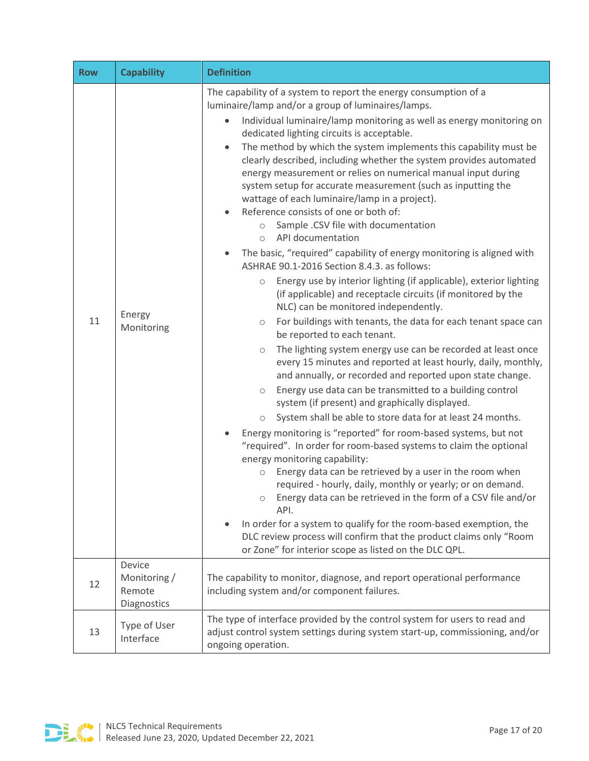| <b>Row</b> | <b>Capability</b>                                      | <b>Definition</b>                                                                                                                                                                                                                                                                                                                                                                                                                                                                                                                                                                                                                                                                                                                                                                                                                                                                                                                                                                                                                                                                                                                                                                                                                                                                                                                                                                                                                                                                                                                                                                                                                                                                                                                                                                                                                                                                                                                                                                                                                                                                                                                                              |  |  |
|------------|--------------------------------------------------------|----------------------------------------------------------------------------------------------------------------------------------------------------------------------------------------------------------------------------------------------------------------------------------------------------------------------------------------------------------------------------------------------------------------------------------------------------------------------------------------------------------------------------------------------------------------------------------------------------------------------------------------------------------------------------------------------------------------------------------------------------------------------------------------------------------------------------------------------------------------------------------------------------------------------------------------------------------------------------------------------------------------------------------------------------------------------------------------------------------------------------------------------------------------------------------------------------------------------------------------------------------------------------------------------------------------------------------------------------------------------------------------------------------------------------------------------------------------------------------------------------------------------------------------------------------------------------------------------------------------------------------------------------------------------------------------------------------------------------------------------------------------------------------------------------------------------------------------------------------------------------------------------------------------------------------------------------------------------------------------------------------------------------------------------------------------------------------------------------------------------------------------------------------------|--|--|
| 11         | Energy<br>Monitoring                                   | The capability of a system to report the energy consumption of a<br>luminaire/lamp and/or a group of luminaires/lamps.<br>Individual luminaire/lamp monitoring as well as energy monitoring on<br>dedicated lighting circuits is acceptable.<br>The method by which the system implements this capability must be<br>$\bullet$<br>clearly described, including whether the system provides automated<br>energy measurement or relies on numerical manual input during<br>system setup for accurate measurement (such as inputting the<br>wattage of each luminaire/lamp in a project).<br>Reference consists of one or both of:<br>Sample .CSV file with documentation<br>$\circ$<br>API documentation<br>$\circ$<br>The basic, "required" capability of energy monitoring is aligned with<br>ASHRAE 90.1-2016 Section 8.4.3, as follows:<br>Energy use by interior lighting (if applicable), exterior lighting<br>$\bigcirc$<br>(if applicable) and receptacle circuits (if monitored by the<br>NLC) can be monitored independently.<br>For buildings with tenants, the data for each tenant space can<br>$\bigcirc$<br>be reported to each tenant.<br>The lighting system energy use can be recorded at least once<br>$\circ$<br>every 15 minutes and reported at least hourly, daily, monthly,<br>and annually, or recorded and reported upon state change.<br>Energy use data can be transmitted to a building control<br>$\circ$<br>system (if present) and graphically displayed.<br>System shall be able to store data for at least 24 months.<br>$\bigcirc$<br>Energy monitoring is "reported" for room-based systems, but not<br>"required". In order for room-based systems to claim the optional<br>energy monitoring capability:<br>Energy data can be retrieved by a user in the room when<br>$\circ$<br>required - hourly, daily, monthly or yearly; or on demand.<br>Energy data can be retrieved in the form of a CSV file and/or<br>API.<br>In order for a system to qualify for the room-based exemption, the<br>DLC review process will confirm that the product claims only "Room<br>or Zone" for interior scope as listed on the DLC QPL. |  |  |
| 12         | <b>Device</b><br>Monitoring /<br>Remote<br>Diagnostics | The capability to monitor, diagnose, and report operational performance<br>including system and/or component failures.                                                                                                                                                                                                                                                                                                                                                                                                                                                                                                                                                                                                                                                                                                                                                                                                                                                                                                                                                                                                                                                                                                                                                                                                                                                                                                                                                                                                                                                                                                                                                                                                                                                                                                                                                                                                                                                                                                                                                                                                                                         |  |  |
| 13         | Type of User<br>Interface                              | The type of interface provided by the control system for users to read and<br>adjust control system settings during system start-up, commissioning, and/or<br>ongoing operation.                                                                                                                                                                                                                                                                                                                                                                                                                                                                                                                                                                                                                                                                                                                                                                                                                                                                                                                                                                                                                                                                                                                                                                                                                                                                                                                                                                                                                                                                                                                                                                                                                                                                                                                                                                                                                                                                                                                                                                               |  |  |

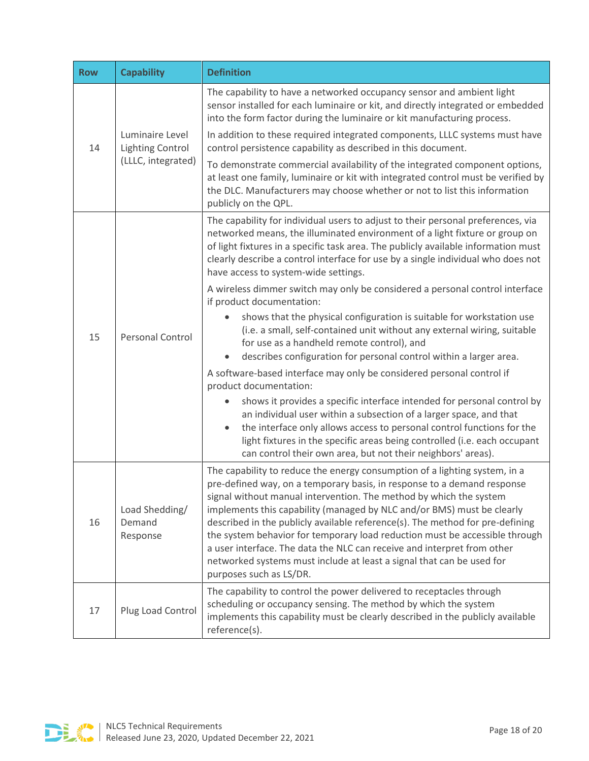| <b>Row</b> | <b>Capability</b>                                                | <b>Definition</b>                                                                                                                                                                                                                                                                                                                                                                                                                                                                                                                                                                                                                                    |
|------------|------------------------------------------------------------------|------------------------------------------------------------------------------------------------------------------------------------------------------------------------------------------------------------------------------------------------------------------------------------------------------------------------------------------------------------------------------------------------------------------------------------------------------------------------------------------------------------------------------------------------------------------------------------------------------------------------------------------------------|
| 14         | Luminaire Level<br><b>Lighting Control</b><br>(LLLC, integrated) | The capability to have a networked occupancy sensor and ambient light<br>sensor installed for each luminaire or kit, and directly integrated or embedded<br>into the form factor during the luminaire or kit manufacturing process.                                                                                                                                                                                                                                                                                                                                                                                                                  |
|            |                                                                  | In addition to these required integrated components, LLLC systems must have<br>control persistence capability as described in this document.                                                                                                                                                                                                                                                                                                                                                                                                                                                                                                         |
|            |                                                                  | To demonstrate commercial availability of the integrated component options,<br>at least one family, luminaire or kit with integrated control must be verified by<br>the DLC. Manufacturers may choose whether or not to list this information<br>publicly on the QPL.                                                                                                                                                                                                                                                                                                                                                                                |
|            | <b>Personal Control</b>                                          | The capability for individual users to adjust to their personal preferences, via<br>networked means, the illuminated environment of a light fixture or group on<br>of light fixtures in a specific task area. The publicly available information must<br>clearly describe a control interface for use by a single individual who does not<br>have access to system-wide settings.                                                                                                                                                                                                                                                                    |
|            |                                                                  | A wireless dimmer switch may only be considered a personal control interface<br>if product documentation:                                                                                                                                                                                                                                                                                                                                                                                                                                                                                                                                            |
| 15         |                                                                  | shows that the physical configuration is suitable for workstation use<br>(i.e. a small, self-contained unit without any external wiring, suitable<br>for use as a handheld remote control), and<br>describes configuration for personal control within a larger area.                                                                                                                                                                                                                                                                                                                                                                                |
|            |                                                                  | A software-based interface may only be considered personal control if                                                                                                                                                                                                                                                                                                                                                                                                                                                                                                                                                                                |
|            |                                                                  | product documentation:<br>shows it provides a specific interface intended for personal control by<br>an individual user within a subsection of a larger space, and that<br>the interface only allows access to personal control functions for the<br>$\bullet$<br>light fixtures in the specific areas being controlled (i.e. each occupant<br>can control their own area, but not their neighbors' areas).                                                                                                                                                                                                                                          |
| 16         | Load Shedding/<br>Demand<br>Response                             | The capability to reduce the energy consumption of a lighting system, in a<br>pre-defined way, on a temporary basis, in response to a demand response<br>signal without manual intervention. The method by which the system<br>implements this capability (managed by NLC and/or BMS) must be clearly<br>described in the publicly available reference(s). The method for pre-defining<br>the system behavior for temporary load reduction must be accessible through<br>a user interface. The data the NLC can receive and interpret from other<br>networked systems must include at least a signal that can be used for<br>purposes such as LS/DR. |
| 17         | Plug Load Control                                                | The capability to control the power delivered to receptacles through<br>scheduling or occupancy sensing. The method by which the system<br>implements this capability must be clearly described in the publicly available<br>reference(s).                                                                                                                                                                                                                                                                                                                                                                                                           |

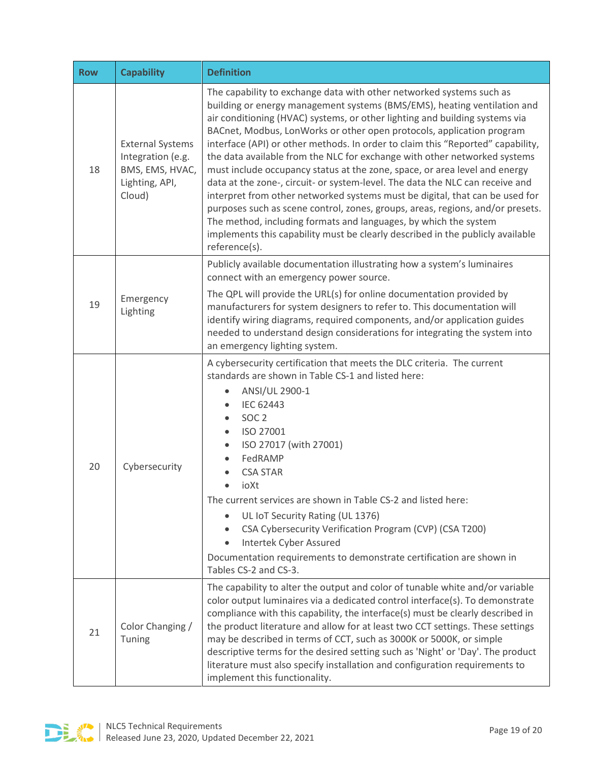| <b>Row</b> | <b>Capability</b>                                                                           | <b>Definition</b>                                                                                                                                                                                                                                                                                                                                                                                                                                                                                                                                                                                                                                                                                                                                                                                                                                                                                                                                                                |  |  |
|------------|---------------------------------------------------------------------------------------------|----------------------------------------------------------------------------------------------------------------------------------------------------------------------------------------------------------------------------------------------------------------------------------------------------------------------------------------------------------------------------------------------------------------------------------------------------------------------------------------------------------------------------------------------------------------------------------------------------------------------------------------------------------------------------------------------------------------------------------------------------------------------------------------------------------------------------------------------------------------------------------------------------------------------------------------------------------------------------------|--|--|
| 18         | <b>External Systems</b><br>Integration (e.g.<br>BMS, EMS, HVAC,<br>Lighting, API,<br>Cloud) | The capability to exchange data with other networked systems such as<br>building or energy management systems (BMS/EMS), heating ventilation and<br>air conditioning (HVAC) systems, or other lighting and building systems via<br>BACnet, Modbus, LonWorks or other open protocols, application program<br>interface (API) or other methods. In order to claim this "Reported" capability,<br>the data available from the NLC for exchange with other networked systems<br>must include occupancy status at the zone, space, or area level and energy<br>data at the zone-, circuit- or system-level. The data the NLC can receive and<br>interpret from other networked systems must be digital, that can be used for<br>purposes such as scene control, zones, groups, areas, regions, and/or presets.<br>The method, including formats and languages, by which the system<br>implements this capability must be clearly described in the publicly available<br>reference(s). |  |  |
| 19         | Emergency<br>Lighting                                                                       | Publicly available documentation illustrating how a system's luminaires<br>connect with an emergency power source.<br>The QPL will provide the URL(s) for online documentation provided by<br>manufacturers for system designers to refer to. This documentation will<br>identify wiring diagrams, required components, and/or application guides<br>needed to understand design considerations for integrating the system into<br>an emergency lighting system.                                                                                                                                                                                                                                                                                                                                                                                                                                                                                                                 |  |  |
| 20         | Cybersecurity                                                                               | A cybersecurity certification that meets the DLC criteria. The current<br>standards are shown in Table CS-1 and listed here:<br>ANSI/UL 2900-1<br><b>IEC 62443</b><br>SOC <sub>2</sub><br>$\bullet$<br>ISO 27001<br>$\bullet$<br>ISO 27017 (with 27001)<br>$\bullet$<br>FedRAMP<br><b>CSA STAR</b><br>ioXt<br>$\bullet$<br>The current services are shown in Table CS-2 and listed here:<br>UL IoT Security Rating (UL 1376)<br>CSA Cybersecurity Verification Program (CVP) (CSA T200)<br>$\bullet$<br>Intertek Cyber Assured<br>$\bullet$<br>Documentation requirements to demonstrate certification are shown in<br>Tables CS-2 and CS-3.                                                                                                                                                                                                                                                                                                                                     |  |  |
| 21         | Color Changing /<br>Tuning                                                                  | The capability to alter the output and color of tunable white and/or variable<br>color output luminaires via a dedicated control interface(s). To demonstrate<br>compliance with this capability, the interface(s) must be clearly described in<br>the product literature and allow for at least two CCT settings. These settings<br>may be described in terms of CCT, such as 3000K or 5000K, or simple<br>descriptive terms for the desired setting such as 'Night' or 'Day'. The product<br>literature must also specify installation and configuration requirements to<br>implement this functionality.                                                                                                                                                                                                                                                                                                                                                                      |  |  |